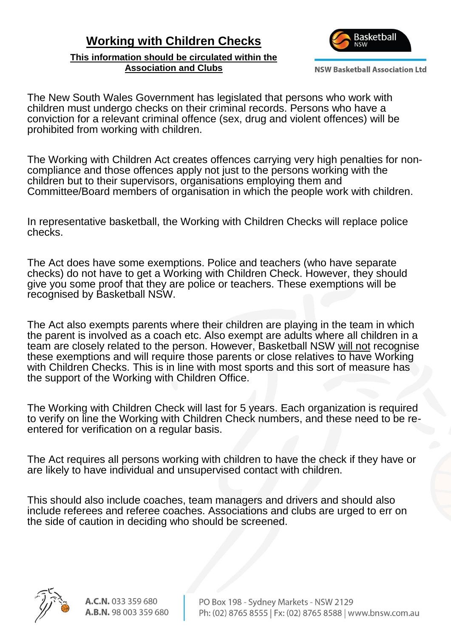## **Working with Children Checks**

**This information should be circulated within the Association and Clubs**



**NSW Basketball Association Ltd** 

The New South Wales Government has legislated that persons who work with children must undergo checks on their criminal records. Persons who have a conviction for a relevant criminal offence (sex, drug and violent offences) will be prohibited from working with children.

The Working with Children Act creates offences carrying very high penalties for noncompliance and those offences apply not just to the persons working with the children but to their supervisors, organisations employing them and Committee/Board members of organisation in which the people work with children.

In representative basketball, the Working with Children Checks will replace police checks.

The Act does have some exemptions. Police and teachers (who have separate checks) do not have to get a Working with Children Check. However, they should give you some proof that they are police or teachers. These exemptions will be recognised by Basketball NSW.

The Act also exempts parents where their children are playing in the team in which the parent is involved as a coach etc. Also exempt are adults where all children in a team are closely related to the person. However, Basketball NSW will not recognise these exemptions and will require those parents or close relatives to have Working with Children Checks. This is in line with most sports and this sort of measure has the support of the Working with Children Office.

The Working with Children Check will last for 5 years. Each organization is required to verify on line the Working with Children Check numbers, and these need to be reentered for verification on a regular basis.

The Act requires all persons working with children to have the check if they have or are likely to have individual and unsupervised contact with children.

This should also include coaches, team managers and drivers and should also include referees and referee coaches. Associations and clubs are urged to err on the side of caution in deciding who should be screened.